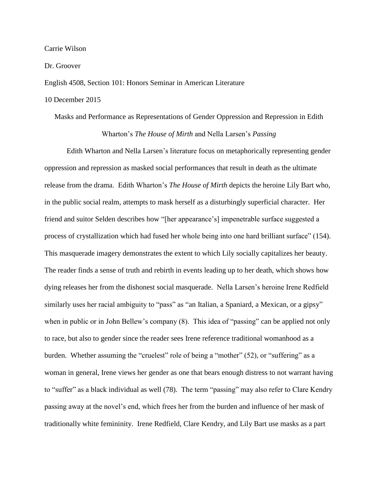Carrie Wilson

Dr. Groover

English 4508, Section 101: Honors Seminar in American Literature

## 10 December 2015

## Masks and Performance as Representations of Gender Oppression and Repression in Edith Wharton's *The House of Mirth* and Nella Larsen's *Passing*

Edith Wharton and Nella Larsen's literature focus on metaphorically representing gender oppression and repression as masked social performances that result in death as the ultimate release from the drama. Edith Wharton's *The House of Mirth* depicts the heroine Lily Bart who, in the public social realm, attempts to mask herself as a disturbingly superficial character. Her friend and suitor Selden describes how "[her appearance's] impenetrable surface suggested a process of crystallization which had fused her whole being into one hard brilliant surface" (154). This masquerade imagery demonstrates the extent to which Lily socially capitalizes her beauty. The reader finds a sense of truth and rebirth in events leading up to her death, which shows how dying releases her from the dishonest social masquerade. Nella Larsen's heroine Irene Redfield similarly uses her racial ambiguity to "pass" as "an Italian, a Spaniard, a Mexican, or a gipsy" when in public or in John Bellew's company (8). This idea of "passing" can be applied not only to race, but also to gender since the reader sees Irene reference traditional womanhood as a burden. Whether assuming the "cruelest" role of being a "mother" (52), or "suffering" as a woman in general, Irene views her gender as one that bears enough distress to not warrant having to "suffer" as a black individual as well (78). The term "passing" may also refer to Clare Kendry passing away at the novel's end, which frees her from the burden and influence of her mask of traditionally white femininity. Irene Redfield, Clare Kendry, and Lily Bart use masks as a part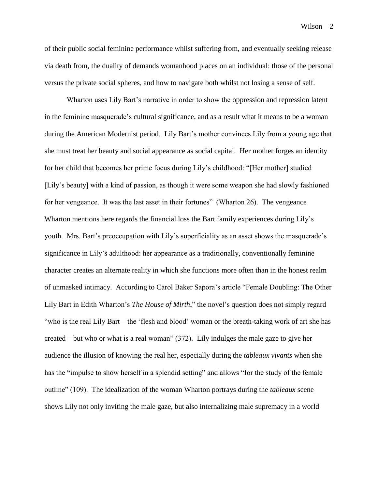Wilson<sub>2</sub>

of their public social feminine performance whilst suffering from, and eventually seeking release via death from, the duality of demands womanhood places on an individual: those of the personal versus the private social spheres, and how to navigate both whilst not losing a sense of self.

Wharton uses Lily Bart's narrative in order to show the oppression and repression latent in the feminine masquerade's cultural significance, and as a result what it means to be a woman during the American Modernist period. Lily Bart's mother convinces Lily from a young age that she must treat her beauty and social appearance as social capital. Her mother forges an identity for her child that becomes her prime focus during Lily's childhood: "[Her mother] studied [Lily's beauty] with a kind of passion, as though it were some weapon she had slowly fashioned for her vengeance. It was the last asset in their fortunes" (Wharton 26). The vengeance Wharton mentions here regards the financial loss the Bart family experiences during Lily's youth. Mrs. Bart's preoccupation with Lily's superficiality as an asset shows the masquerade's significance in Lily's adulthood: her appearance as a traditionally, conventionally feminine character creates an alternate reality in which she functions more often than in the honest realm of unmasked intimacy. According to Carol Baker Sapora's article "Female Doubling: The Other Lily Bart in Edith Wharton's *The House of Mirth*," the novel's question does not simply regard "who is the real Lily Bart—the 'flesh and blood' woman or the breath-taking work of art she has created—but who or what is a real woman" (372). Lily indulges the male gaze to give her audience the illusion of knowing the real her, especially during the *tableaux vivants* when she has the "impulse to show herself in a splendid setting" and allows "for the study of the female outline" (109). The idealization of the woman Wharton portrays during the *tableaux* scene shows Lily not only inviting the male gaze, but also internalizing male supremacy in a world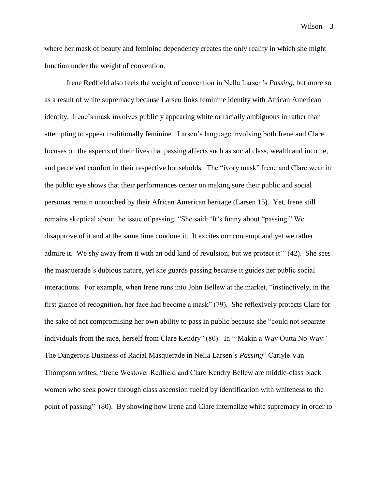where her mask of beauty and feminine dependency creates the only reality in which she might function under the weight of convention.

Irene Redfield also feels the weight of convention in Nella Larsen's *Passing*, but more so as a result of white supremacy because Larsen links feminine identity with African American identity. Irene's mask involves publicly appearing white or racially ambiguous in rather than attempting to appear traditionally feminine. Larsen's language involving both Irene and Clare focuses on the aspects of their lives that passing affects such as social class, wealth and income, and perceived comfort in their respective households. The "ivory mask" Irene and Clare wear in the public eye shows that their performances center on making sure their public and social personas remain untouched by their African American heritage (Larsen 15). Yet, Irene still remains skeptical about the issue of passing: "She said: 'It's funny about "passing." We disapprove of it and at the same time condone it. It excites our contempt and yet we rather admire it. We shy away from it with an odd kind of revulsion, but we protect it'" (42). She sees the masquerade's dubious nature, yet she guards passing because it guides her public social interactions. For example, when Irene runs into John Bellew at the market, "instinctively, in the first glance of recognition, her face had become a mask" (79). She reflexively protects Clare for the sake of not compromising her own ability to pass in public because she "could not separate individuals from the race, herself from Clare Kendry" (80). In "'Makin a Way Outta No Way:' The Dangerous Business of Racial Masquerade in Nella Larsen's *Passing*" Carlyle Van Thompson writes, "Irene Westover Redfield and Clare Kendry Bellew are middle-class black women who seek power through class ascension fueled by identification with whiteness to the point of passing" (80). By showing how Irene and Clare internalize white supremacy in order to

Wilson 3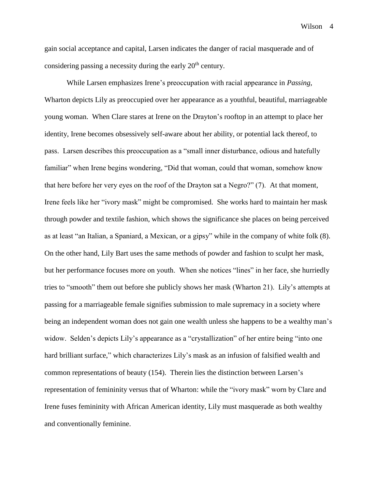gain social acceptance and capital, Larsen indicates the danger of racial masquerade and of considering passing a necessity during the early  $20<sup>th</sup>$  century.

While Larsen emphasizes Irene's preoccupation with racial appearance in *Passing*, Wharton depicts Lily as preoccupied over her appearance as a youthful, beautiful, marriageable young woman. When Clare stares at Irene on the Drayton's rooftop in an attempt to place her identity, Irene becomes obsessively self-aware about her ability, or potential lack thereof, to pass. Larsen describes this preoccupation as a "small inner disturbance, odious and hatefully familiar" when Irene begins wondering, "Did that woman, could that woman, somehow know that here before her very eyes on the roof of the Drayton sat a Negro?" (7). At that moment, Irene feels like her "ivory mask" might be compromised. She works hard to maintain her mask through powder and textile fashion, which shows the significance she places on being perceived as at least "an Italian, a Spaniard, a Mexican, or a gipsy" while in the company of white folk (8). On the other hand, Lily Bart uses the same methods of powder and fashion to sculpt her mask, but her performance focuses more on youth. When she notices "lines" in her face, she hurriedly tries to "smooth" them out before she publicly shows her mask (Wharton 21). Lily's attempts at passing for a marriageable female signifies submission to male supremacy in a society where being an independent woman does not gain one wealth unless she happens to be a wealthy man's widow. Selden's depicts Lily's appearance as a "crystallization" of her entire being "into one hard brilliant surface," which characterizes Lily's mask as an infusion of falsified wealth and common representations of beauty (154). Therein lies the distinction between Larsen's representation of femininity versus that of Wharton: while the "ivory mask" worn by Clare and Irene fuses femininity with African American identity, Lily must masquerade as both wealthy and conventionally feminine.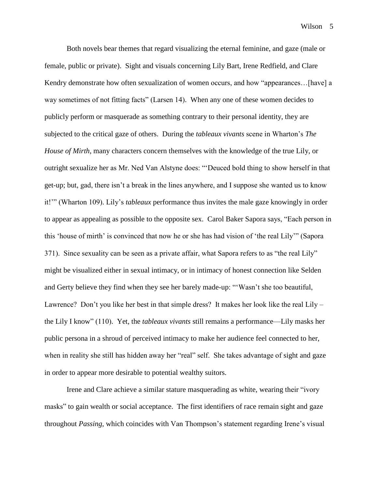Both novels bear themes that regard visualizing the eternal feminine, and gaze (male or female, public or private). Sight and visuals concerning Lily Bart, Irene Redfield, and Clare Kendry demonstrate how often sexualization of women occurs, and how "appearances... [have] a way sometimes of not fitting facts" (Larsen 14). When any one of these women decides to publicly perform or masquerade as something contrary to their personal identity, they are subjected to the critical gaze of others. During the *tableaux vivants* scene in Wharton's *The House of Mirth*, many characters concern themselves with the knowledge of the true Lily, or outright sexualize her as Mr. Ned Van Alstyne does: "'Deuced bold thing to show herself in that get-up; but, gad, there isn't a break in the lines anywhere, and I suppose she wanted us to know it!'" (Wharton 109). Lily's *tableaux* performance thus invites the male gaze knowingly in order to appear as appealing as possible to the opposite sex. Carol Baker Sapora says, "Each person in this 'house of mirth' is convinced that now he or she has had vision of 'the real Lily'" (Sapora 371). Since sexuality can be seen as a private affair, what Sapora refers to as "the real Lily" might be visualized either in sexual intimacy, or in intimacy of honest connection like Selden and Gerty believe they find when they see her barely made-up: "'Wasn't she too beautiful, Lawrence? Don't you like her best in that simple dress? It makes her look like the real Lily – the Lily I know" (110). Yet, the *tableaux vivants* still remains a performance—Lily masks her public persona in a shroud of perceived intimacy to make her audience feel connected to her, when in reality she still has hidden away her "real" self. She takes advantage of sight and gaze in order to appear more desirable to potential wealthy suitors.

Irene and Clare achieve a similar stature masquerading as white, wearing their "ivory masks" to gain wealth or social acceptance. The first identifiers of race remain sight and gaze throughout *Passing*, which coincides with Van Thompson's statement regarding Irene's visual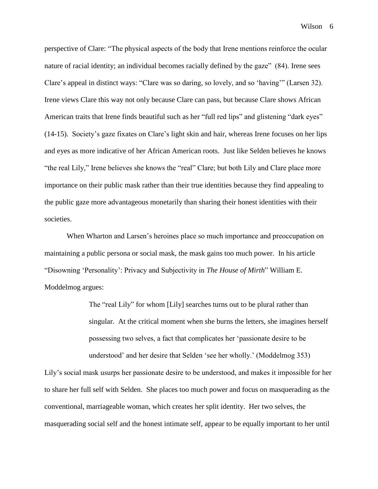perspective of Clare: "The physical aspects of the body that Irene mentions reinforce the ocular nature of racial identity; an individual becomes racially defined by the gaze" (84). Irene sees Clare's appeal in distinct ways: "Clare was so daring, so lovely, and so 'having'" (Larsen 32). Irene views Clare this way not only because Clare can pass, but because Clare shows African American traits that Irene finds beautiful such as her "full red lips" and glistening "dark eyes" (14-15). Society's gaze fixates on Clare's light skin and hair, whereas Irene focuses on her lips and eyes as more indicative of her African American roots. Just like Selden believes he knows "the real Lily," Irene believes she knows the "real" Clare; but both Lily and Clare place more importance on their public mask rather than their true identities because they find appealing to the public gaze more advantageous monetarily than sharing their honest identities with their societies.

When Wharton and Larsen's heroines place so much importance and preoccupation on maintaining a public persona or social mask, the mask gains too much power. In his article "Disowning 'Personality': Privacy and Subjectivity in *The House of Mirth*" William E. Moddelmog argues:

> The "real Lily" for whom [Lily] searches turns out to be plural rather than singular. At the critical moment when she burns the letters, she imagines herself possessing two selves, a fact that complicates her 'passionate desire to be understood' and her desire that Selden 'see her wholly.' (Moddelmog 353)

Lily's social mask usurps her passionate desire to be understood, and makes it impossible for her to share her full self with Selden. She places too much power and focus on masquerading as the conventional, marriageable woman, which creates her split identity. Her two selves, the masquerading social self and the honest intimate self, appear to be equally important to her until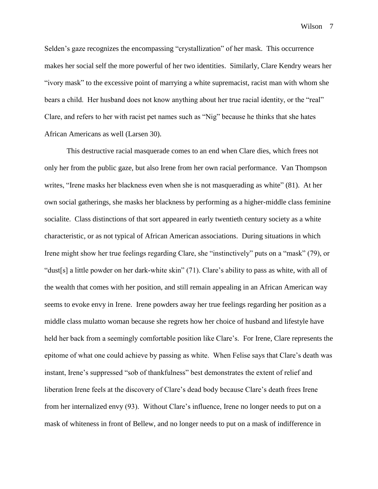Wilson<sub>7</sub>

Selden's gaze recognizes the encompassing "crystallization" of her mask. This occurrence makes her social self the more powerful of her two identities. Similarly, Clare Kendry wears her "ivory mask" to the excessive point of marrying a white supremacist, racist man with whom she bears a child. Her husband does not know anything about her true racial identity, or the "real" Clare, and refers to her with racist pet names such as "Nig" because he thinks that she hates African Americans as well (Larsen 30).

This destructive racial masquerade comes to an end when Clare dies, which frees not only her from the public gaze, but also Irene from her own racial performance. Van Thompson writes, "Irene masks her blackness even when she is not masquerading as white" (81). At her own social gatherings, she masks her blackness by performing as a higher-middle class feminine socialite. Class distinctions of that sort appeared in early twentieth century society as a white characteristic, or as not typical of African American associations. During situations in which Irene might show her true feelings regarding Clare, she "instinctively" puts on a "mask" (79), or "dust[s] a little powder on her dark-white skin" (71). Clare's ability to pass as white, with all of the wealth that comes with her position, and still remain appealing in an African American way seems to evoke envy in Irene. Irene powders away her true feelings regarding her position as a middle class mulatto woman because she regrets how her choice of husband and lifestyle have held her back from a seemingly comfortable position like Clare's. For Irene, Clare represents the epitome of what one could achieve by passing as white. When Felise says that Clare's death was instant, Irene's suppressed "sob of thankfulness" best demonstrates the extent of relief and liberation Irene feels at the discovery of Clare's dead body because Clare's death frees Irene from her internalized envy (93). Without Clare's influence, Irene no longer needs to put on a mask of whiteness in front of Bellew, and no longer needs to put on a mask of indifference in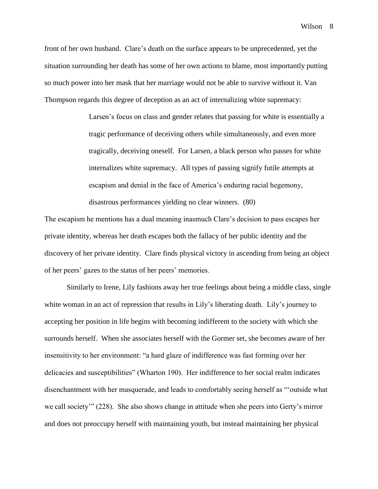front of her own husband. Clare's death on the surface appears to be unprecedented, yet the situation surrounding her death has some of her own actions to blame, most importantly putting so much power into her mask that her marriage would not be able to survive without it. Van Thompson regards this degree of deception as an act of internalizing white supremacy:

> Larsen's focus on class and gender relates that passing for white is essentially a tragic performance of deceiving others while simultaneously, and even more tragically, deceiving oneself. For Larsen, a black person who passes for white internalizes white supremacy. All types of passing signify futile attempts at escapism and denial in the face of America's enduring racial hegemony, disastrous performances yielding no clear winners. (80)

The escapism he mentions has a dual meaning inasmuch Clare's decision to pass escapes her private identity, whereas her death escapes both the fallacy of her public identity and the discovery of her private identity. Clare finds physical victory in ascending from being an object of her peers' gazes to the status of her peers' memories.

Similarly to Irene, Lily fashions away her true feelings about being a middle class, single white woman in an act of repression that results in Lily's liberating death. Lily's journey to accepting her position in life begins with becoming indifferent to the society with which she surrounds herself. When she associates herself with the Gormer set, she becomes aware of her insensitivity to her environment: "a hard glaze of indifference was fast forming over her delicacies and susceptibilities" (Wharton 190). Her indifference to her social realm indicates disenchantment with her masquerade, and leads to comfortably seeing herself as "'outside what we call society'" (228). She also shows change in attitude when she peers into Gerty's mirror and does not preoccupy herself with maintaining youth, but instead maintaining her physical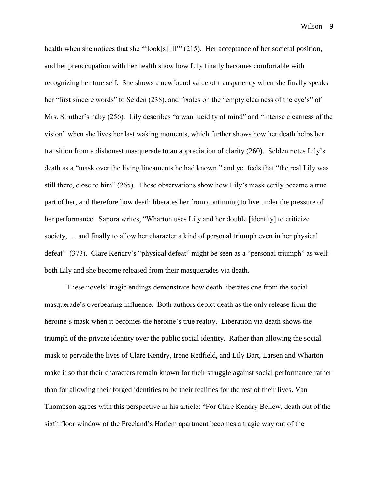health when she notices that she "'look[s] ill'" (215). Her acceptance of her societal position, and her preoccupation with her health show how Lily finally becomes comfortable with recognizing her true self. She shows a newfound value of transparency when she finally speaks her "first sincere words" to Selden (238), and fixates on the "empty clearness of the eye's" of Mrs. Struther's baby (256). Lily describes "a wan lucidity of mind" and "intense clearness of the vision" when she lives her last waking moments, which further shows how her death helps her transition from a dishonest masquerade to an appreciation of clarity (260). Selden notes Lily's death as a "mask over the living lineaments he had known," and yet feels that "the real Lily was still there, close to him" (265). These observations show how Lily's mask eerily became a true part of her, and therefore how death liberates her from continuing to live under the pressure of her performance. Sapora writes, "Wharton uses Lily and her double [identity] to criticize society, … and finally to allow her character a kind of personal triumph even in her physical defeat" (373). Clare Kendry's "physical defeat" might be seen as a "personal triumph" as well: both Lily and she become released from their masquerades via death.

These novels' tragic endings demonstrate how death liberates one from the social masquerade's overbearing influence. Both authors depict death as the only release from the heroine's mask when it becomes the heroine's true reality. Liberation via death shows the triumph of the private identity over the public social identity. Rather than allowing the social mask to pervade the lives of Clare Kendry, Irene Redfield, and Lily Bart, Larsen and Wharton make it so that their characters remain known for their struggle against social performance rather than for allowing their forged identities to be their realities for the rest of their lives. Van Thompson agrees with this perspective in his article: "For Clare Kendry Bellew, death out of the sixth floor window of the Freeland's Harlem apartment becomes a tragic way out of the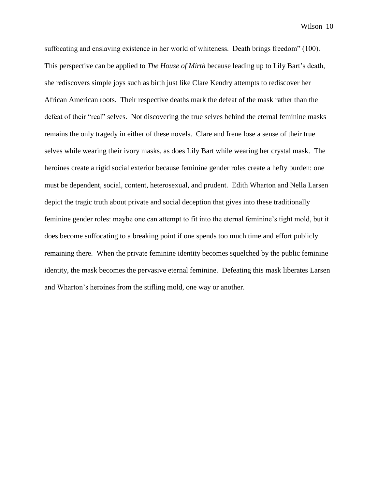suffocating and enslaving existence in her world of whiteness. Death brings freedom" (100). This perspective can be applied to *The House of Mirth* because leading up to Lily Bart's death, she rediscovers simple joys such as birth just like Clare Kendry attempts to rediscover her African American roots. Their respective deaths mark the defeat of the mask rather than the defeat of their "real" selves. Not discovering the true selves behind the eternal feminine masks remains the only tragedy in either of these novels. Clare and Irene lose a sense of their true selves while wearing their ivory masks, as does Lily Bart while wearing her crystal mask. The heroines create a rigid social exterior because feminine gender roles create a hefty burden: one must be dependent, social, content, heterosexual, and prudent. Edith Wharton and Nella Larsen depict the tragic truth about private and social deception that gives into these traditionally feminine gender roles: maybe one can attempt to fit into the eternal feminine's tight mold, but it does become suffocating to a breaking point if one spends too much time and effort publicly remaining there. When the private feminine identity becomes squelched by the public feminine identity, the mask becomes the pervasive eternal feminine. Defeating this mask liberates Larsen and Wharton's heroines from the stifling mold, one way or another.